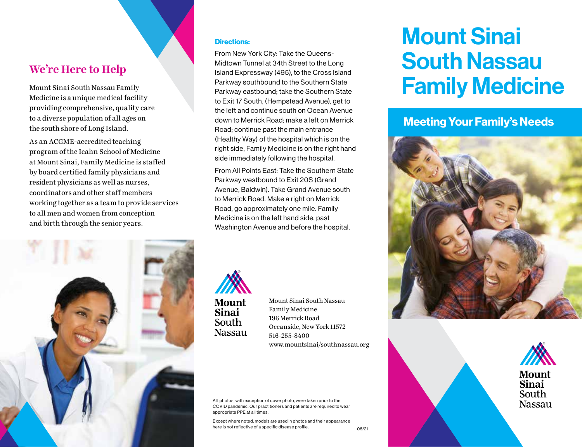# **We're Here to Help**

Mount Sinai South Nassau Family Medicine is a unique medical facility providing comprehensive, quality care to a diverse population of all ages on the south shore of Long Island.

As an ACGME-accredited teaching program of the Icahn School of Medicine at Mount Sinai, Family Medicine is staffed by board certified family physicians and resident physicians as well as nurses, coordinators and other staff members working together as a team to provide services to all men and women from conception and birth through the senior years.



## Directions:

From New York City: Take the Queens-Midtown Tunnel at 34th Street to the Long Island Expressway (495), to the Cross Island Parkway southbound to the Southern State Parkway eastbound; take the Southern State to Exit 17 South, (Hempstead Avenue), get to the left and continue south on Ocean Avenue down to Merrick Road; make a left on Merrick Road; continue past the main entrance (Healthy Way) of the hospital which is on the right side, Family Medicine is on the right hand side immediately following the hospital.

From All Points East: Take the Southern State Parkway westbound to Exit 20S (Grand Avenue, Baldwin). Take Grand Avenue south to Merrick Road. Make a right on Merrick Road, go approximately one mile. Family Medicine is on the left hand side, past Washington Avenue and before the hospital.



**Nassau** 

Mount Sinai South Nassau Family Medicine 196 Merrick Road Oceanside, New York 11572 516-255-8400 www.mountsinai/southnassau.org

All photos, with exception of cover photo, were taken prior to the COVID pandemic. Our practitioners and patients are required to wear appropriate PPE at all times.

Except where noted, models are used in photos and their appearance here is not reflective of a specific disease profile.

# Mount Sinai South Nassau Family Medicine

## Meeting Your Family's Needs